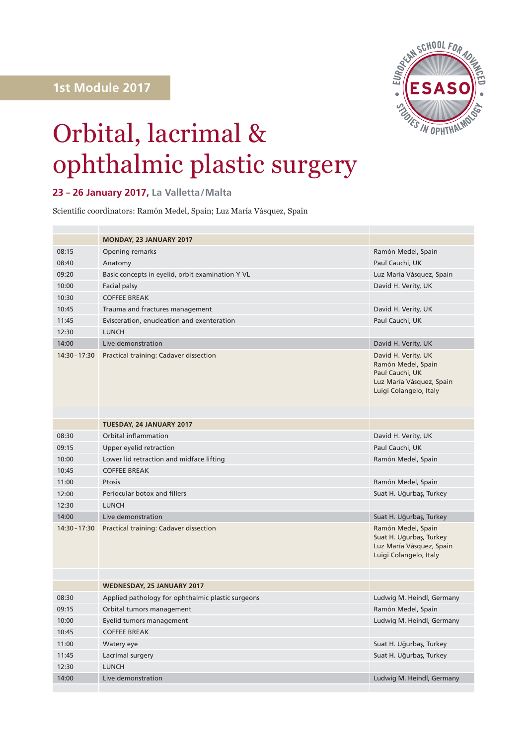

## Orbital, lacrimal & ophthalmic plastic surgery

## **23 – 26 January 2017, La Valletta/Malta**

Scientific coordinators: Ramón Medel, Spain; Luz María Vásquez, Spain

|                 | <b>MONDAY, 23 JANUARY 2017</b>                    |                                                                                                                    |
|-----------------|---------------------------------------------------|--------------------------------------------------------------------------------------------------------------------|
| 08:15           | Opening remarks                                   | Ramón Medel, Spain                                                                                                 |
| 08:40           | Anatomy                                           | Paul Cauchi, UK                                                                                                    |
| 09:20           | Basic concepts in eyelid, orbit examination YVL   | Luz María Vásquez, Spain                                                                                           |
| 10:00           | Facial palsy                                      | David H. Verity, UK                                                                                                |
| 10:30           | <b>COFFEE BREAK</b>                               |                                                                                                                    |
| 10:45           | Trauma and fractures management                   | David H. Verity, UK                                                                                                |
| 11:45           | Evisceration, enucleation and exenteration        | Paul Cauchi, UK                                                                                                    |
| 12:30           | <b>LUNCH</b>                                      |                                                                                                                    |
| 14:00           | Live demonstration                                | David H. Verity, UK                                                                                                |
| $14:30 - 17:30$ | Practical training: Cadaver dissection            | David H. Verity, UK<br>Ramón Medel, Spain<br>Paul Cauchi, UK<br>Luz María Vásquez, Spain<br>Luigi Colangelo, Italy |
|                 | <b>TUESDAY, 24 JANUARY 2017</b>                   |                                                                                                                    |
| 08:30           | Orbital inflammation                              | David H. Verity, UK                                                                                                |
| 09:15           | Upper eyelid retraction                           | Paul Cauchi, UK                                                                                                    |
| 10:00           | Lower lid retraction and midface lifting          | Ramón Medel, Spain                                                                                                 |
| 10:45           | <b>COFFEE BREAK</b>                               |                                                                                                                    |
| 11:00           | Ptosis                                            | Ramón Medel, Spain                                                                                                 |
| 12:00           | Periocular botox and fillers                      | Suat H. Uğurbaş, Turkey                                                                                            |
| 12:30           | <b>LUNCH</b>                                      |                                                                                                                    |
| 14:00           | Live demonstration                                | Suat H. Uğurbaş, Turkey                                                                                            |
| $14:30 - 17:30$ | Practical training: Cadaver dissection            | Ramón Medel, Spain<br>Suat H. Uğurbaş, Turkey<br>Luz María Vásquez, Spain<br>Luigi Colangelo, Italy                |
|                 |                                                   |                                                                                                                    |
|                 | <b>WEDNESDAY, 25 JANUARY 2017</b>                 |                                                                                                                    |
| 08:30           | Applied pathology for ophthalmic plastic surgeons | Ludwig M. Heindl, Germany                                                                                          |
| 09:15           | Orbital tumors management                         | Ramón Medel, Spain                                                                                                 |
| 10:00           | Eyelid tumors management                          | Ludwig M. Heindl, Germany                                                                                          |
| 10:45           | <b>COFFEE BREAK</b>                               |                                                                                                                    |
| 11:00           | Watery eye                                        | Suat H. Uğurbaş, Turkey                                                                                            |
| 11:45           | Lacrimal surgery                                  | Suat H. Uğurbaş, Turkey                                                                                            |
| 12:30           | <b>LUNCH</b>                                      |                                                                                                                    |
| 14:00           | Live demonstration                                | Ludwig M. Heindl, Germany                                                                                          |
|                 |                                                   |                                                                                                                    |